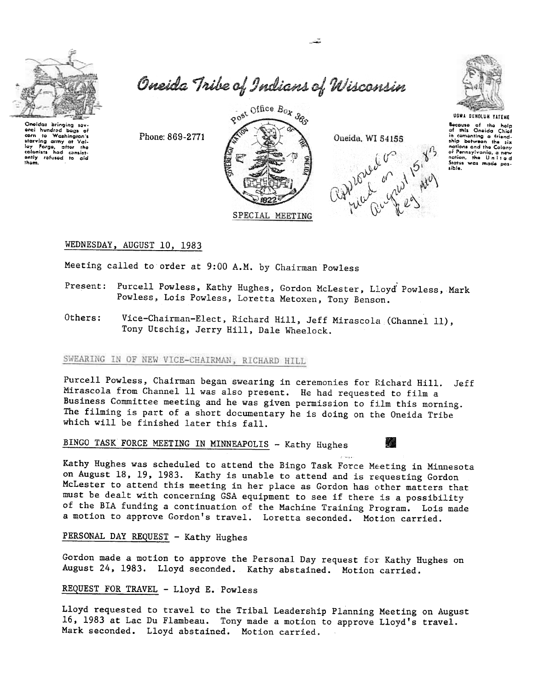

Oneida Tribe of Indians of Wisconsin



Rost Office Box 385 Phone: 869-2771 SPECIAL MEETING





**UGWA DENOLUN YATEHE** Socause of the help<br>of this Oneida Chief<br>in cementing a friend-<br>ship between the six nations and the Colony nations and the Colony<br>of Pennsylvania, a new<br>didion, the United<br>Sidies was made pos-<br>sible.

### WEDNESDAY, AUGUST 10, 1983

Meeting called to order at 9:00 A.M. by Chairman Powless

- Present: Purcell Powless, Kathy Hughes, Gordon McLester, Lloyd Powless, Mark Powless, Lois Powless, Loretta Metoxen, Tony Benson.
- Others: Vice-Chairman-Elect, Richard Hill, Jeff Mirascola (Channel 11), Tony Utschig, Jerry Hill, Dale Wheelock.

# SWEARING IN OF NEW VICE-CHAIRMAN, RICHARD HILL

Purcell Powless, Chairman began swearing in ceremonies for Richard Hill. Jeff Mirascola from Channel 11 was also present. He had requested to film a Business Committee meeting and he was given permission to film this morning. The filming is part of a short documentary he is doing on the Oneida Tribe which will be finished later this fall.

BINGO TASK FORCE MEETING IN MINNEAPOLIS - Kathy Hughes



Kathy Hughes was scheduled to attend the Bingo Task Force Meeting in Minnesota on August 18, 19, 1983. Kathy is unable to attend and is requesting Gordon McLester to attend this meeting in her place as Gordon has other matters that must be dealt with concerning GSA equipment to see if there is a possibility of the BIA funding a continuation of the Machine Training Program. Lois made a motion to approve Gordon's travel. Loretta seconded. Motion carried.

## PERSONAL DAY REQUEST - Kathy Hughes

Gordon made a motion to approve the Personal Day request for Kathy Hughes on August 24, 1983. Lloyd seconded. Kathy abstained. Motion carried.

#### REQUEST FOR TRAVEL - Lloyd E. Powless

Lloyd requested to travel to the Tribal Leadership Planning Meeting on August 16, 1983 at Lac Du Flambeau. Tony made a motion to approve Lloyd's travel. Mark seconded. Lloyd abstained. Motion carried.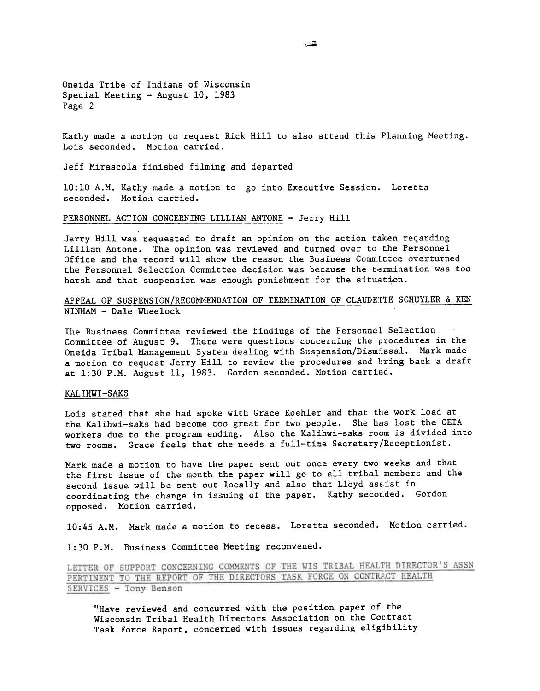Oneida Tribe of Indians of Wisconsin Special Meeting - August 10, 1983 Page 2

Kathy made a motion to request Rick Hill to also attend this Planning Meeting. Lois seconded. Motion carried.

Jeff Mirascola finished filming and departed

10:10 A.M. Kathy made a motion to go into Executive Session. Loretta seconded. Motion carried.

PERSONNEL ACTION CONCERNING LILLIAN ANTONE - Jerry Hill

Jerry Hill was requested to draft an opinion on the action taken reqarding Lillian Antone. The opinion was reviewed and turned over to the Personnel Office and the record will show the reason the Business Committee overturned the Personnel Selection Committee decision was because the termination was too harsh and that suspension was enough punishment for the situation.

APPEAL OF SUSPENSION/RECOMMENDATION OF TERMINATION OF CLAUDETTE SCHUYLER & KEN NINHAM - Dale Wheelock

The Business Committee reviewed the findings of the Personnel Selection Committee of August 9. There were questions concerning the procedures in the Oneida Tribal Management System dealing with Suspension/Dismissal. Mark made a motion to request Jerry Hill to review the procedures and bring back a draft at 1:30 P.M. August 11,1983. Gordon seconded. Motion carried.

#### KALIHWI-SAKS

Lois stated that she had spoke with Grace Koehler and that the work load at the Kalihwi-saks had become too great for two people. She has lost the CETA workers due to the program ending. Also the Kalihwi-saks room is divided into two rooms. Grace feels that she needs a full-time Secretary/Receptionist.

Mark made a motion to have the paper sent out once every two weeks and that the first issue of the month the paper will go to all tribal members and the second issue will be sent out locally and also that Lloyd assist in coordinating the change in issuing of the paper. Kathy seconded. Gordon opposed. Motion carried.

10:45 A.M. Mark made a motion to recess. Loretta seconded. Motion carried.

1:30 P.M. Business Committee Meeting reconvened.

LETTER OF SUPPORT CONCERNING COMMENTS OF THE WIS TRIBAL HEALTH DIRECTOR'S ASSN PERTINENT TO THE REPORT OF THE DIRECTORS TASK FORCE ON CONTRACT HEALTH SERVICES - Tony Benson

"Have reviewed and concurred with the position paper of the Wisconsin Tribal Health Directors Association on the Contract Task Force Report, concerned with issues regarding eligibility